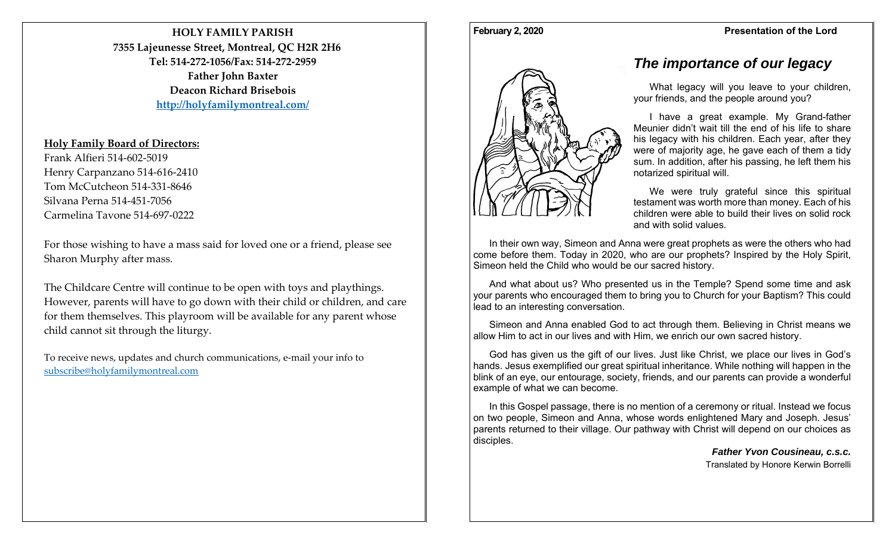**HOLY FAMILY PARISH7355 Lajeunesse Street, Montreal, QC H2R 2H6 Tel: 514‐272‐1056/Fax: 514‐272‐2959Father John Baxter Deacon Richard Brisebois http://holyfamilymontreal.com/**

## **Holy Family Board of Directors:**

Frank Alfieri 514‐602‐5019 Henry Carpanzano 514‐616‐2410 Tom McCutcheon 514‐331‐8646 Silvana Perna 514‐451‐7056 Carmelina Tavone 514‐697‐0222

For those wishing to have <sup>a</sup> mass said for loved one or <sup>a</sup> friend, please see Sharon Murphy after mass.

The Childcare Centre will continue to be open with toys and playthings. However, parents will have to go down with their child or children, and care for them themselves. This playroom will be available for any paren<sup>t</sup> whose child cannot sit through the liturgy.

To receive news, updates and church communications, <sup>e</sup>‐mail your info to subscribe@holyfamilymontreal.com

# *The importance of our legacy*

What legacy will you leave to your children, your friends, and the people around you?

I have a great example. My Grand-father Meunier didn't wait till the end of his life to share his legacy with his children. Each year, after they were of majority age, he gave each of them a tidy sum. In addition, after his passing, he left them his notarized spiritual will.

We were truly grateful since this spiritual testament was worth more than money. Each of his children were able to build their lives on solid rock and with solid values.

In their own way, Simeon and Anna were great prophets as were the others who had come before them. Today in 2020, who are our prophets? Inspired by the Holy Spirit, Simeon held the Child who would be our sacred history.

And what about us? Who presented us in the Temple? Spend some time and ask your parents who encouraged them to bring you to Church for your Baptism? This could lead to an interesting conversation.

Simeon and Anna enabled God to act through them. Believing in Christ means we allow Him to act in our lives and with Him, we enrich our own sacred history.

God has given us the gift of our lives. Just like Christ, we place our lives in God's hands. Jesus exemplified our great spiritual inheritance. While nothing will happen in the blink of an eye, our entourage, society, friends, and our parents can provide a wonderful example of what we can become.

In this Gospel passage, there is no mention of a ceremony or ritual. Instead we focus on two people, Simeon and Anna, whose words enlightened Mary and Joseph. Jesus' parents returned to their village. Our pathway with Christ will depend on our choices as disciples.

*Father Yvon Cousineau, c.s.c.*  Translated by Honore Kerwin Borrelli



### **February 2, 2020 Presentation of the Lord**